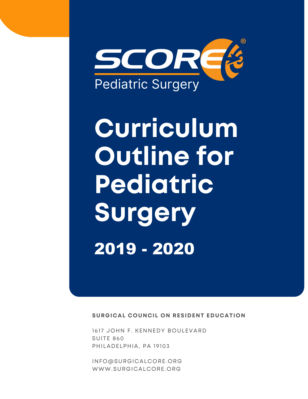

# **Curriculum Outline for Pediatric Surgery** 2019 - 2020

**SURGICAL COUNCIL ON RESIDENT EDUCATION** 

1617 JOHN F. KENNEDY BOULEVARD SUITE 860 PHILADELPHIA, PA 19103

[INFO@SURGICALCORE.ORG](mailto:info@surgicalcore.org) [WWW.SURGICALCORE.ORG](http://www.surgicalcore.org/)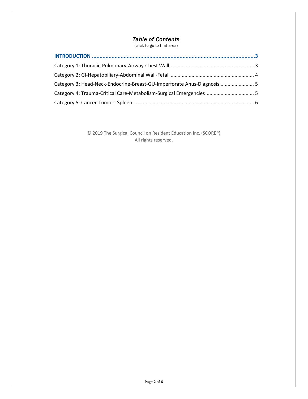## *Table of Contents*

(click to go to that area)

| Category 3: Head-Neck-Endocrine-Breast-GU-Imperforate Anus-Diagnosis  5 |  |
|-------------------------------------------------------------------------|--|
| Category 4: Trauma-Critical Care-Metabolism-Surgical Emergencies 5      |  |
|                                                                         |  |

© 2019 The Surgical Council on Resident Education Inc. (SCORE®) All rights reserved.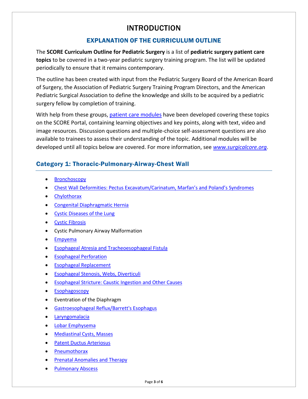## INTRODUCTION

## EXPLANATION OF THE CURRICULUM OUTLINE

<span id="page-2-0"></span>The **SCORE Curriculum Outline for Pediatric Surgery** is a list of **pediatric surgery patient care topics** to be covered in a two-year pediatric surgery training program. The list will be updated periodically to ensure that it remains contemporary.

The outline has been created with input from the Pediatric Surgery Board of the American Board of Surgery, the Association of Pediatric Surgery Training Program Directors, and the American Pediatric Surgical Association to define the knowledge and skills to be acquired by a pediatric surgery fellow by completion of training.

With help from these groups, [patient care modules](http://www.surgicalcore.org/modules.aspx?f_competency=Patient+Care&f_category=Pediatric+Surgery+-+Fellowship+Level) have been developed covering these topics on the SCORE Portal, containing learning objectives and key points, along with text, video and image resources. Discussion questions and multiple-choice self-assessment questions are also available to trainees to assess their understanding of the topic. Additional modules will be developed until all topics below are covered. For more information, see *[www.surgicalcore.org](http://www.surgicalcore.org/)*.

## <span id="page-2-1"></span>Category 1: Thoracic-Pulmonary-Airway-Chest Wall

- **Bronchoscopy**
- [Chest Wall Deformities: Pectus Excavatum/Carinatum, Marfan's and Poland's Syndromes](http://www.surgicalcore.org/modulecontent.aspx?id=1000181)
- [Chylothorax](http://www.surgicalcore.org/modulecontent.aspx?id=1000306)
- [Congenital Diaphragmatic Hernia](http://www.surgicalcore.org/modulecontent.aspx?id=261666)
- [Cystic Diseases of the Lung](http://www.surgicalcore.org/modulecontent.aspx?id=1000165)
- [Cystic Fibrosis](http://www.surgicalcore.org/modulecontent.aspx?id=1000307)
- Cystic Pulmonary Airway Malformation
- [Empyema](http://www.surgicalcore.org/modulecontent.aspx?id=1000182)
- Esophageal Atresia [and Tracheoesophageal Fistula](http://www.surgicalcore.org/modulecontent.aspx?id=261755)
- [Esophageal Perforation](http://www.surgicalcore.org/modulecontent.aspx?id=1000312)
- [Esophageal Replacement](http://www.surgicalcore.org/modulecontent.aspx?id=1000178)
- [Esophageal Stenosis, Webs, Diverticuli](http://www.surgicalcore.org/modulecontent.aspx?id=1000254)
- [Esophageal Stricture: Caustic Ingestion and Other Causes](http://www.surgicalcore.org/modulecontent.aspx?id=1000255)
- [Esophagoscopy](http://www.surgicalcore.org/modulecontent.aspx?id=1000184)
- Eventration of the Diaphragm
- [Gastroesophageal Reflux/Barrett's Esophagus](http://www.surgicalcore.org/modulecontent.aspx?id=261837)
- **[Laryngomalacia](http://www.surgicalcore.org/modulecontent.aspx?id=1000417)**
- [Lobar Emphysema](http://www.surgicalcore.org/modulecontent.aspx?id=1000282)
- [Mediastinal Cysts, Masses](http://www.surgicalcore.org/modulecontent.aspx?id=1000253)
- [Patent Ductus Arteriosus](http://www.surgicalcore.org/modulecontent.aspx?id=1000167)
- [Pneumothorax](http://www.surgicalcore.org/modulecontent.aspx?id=1000197)
- [Prenatal Anomalies and Therapy](http://www.surgicalcore.org/modulecontent.aspx?id=1000250)
- **[Pulmonary Abscess](http://www.surgicalcore.org/modulecontent.aspx?id=1000252)**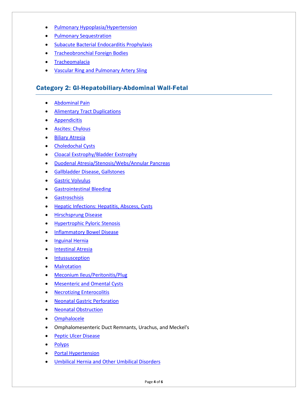- [Pulmonary Hypoplasia/Hypertension](http://www.surgicalcore.org/modulecontent.aspx?id=1000251)
- [Pulmonary Sequestration](http://www.surgicalcore.org/modulecontent.aspx?id=1000281)
- [Subacute Bacterial Endocarditis Prophylaxis](http://www.surgicalcore.org/modulecontent.aspx?id=1000256)
- [Tracheobronchial Foreign Bodies](http://www.surgicalcore.org/modulecontent.aspx?id=1000298)
- [Tracheomalacia](http://www.surgicalcore.org/modulecontent.aspx?id=1000446)
- **Vascular Ring [and Pulmonary Artery Sling](http://www.surgicalcore.org/modulecontent.aspx?id=1000297)**

### <span id="page-3-0"></span>Category 2: GI-Hepatobiliary-Abdominal Wall-Fetal

- [Abdominal Pain](http://www.surgicalcore.org/modulecontent.aspx?id=1000280)
- [Alimentary Tract](http://www.surgicalcore.org/modulecontent.aspx?id=1000211) Duplications
- [Appendicitis](http://www.surgicalcore.org/modulecontent.aspx?id=262626)
- [Ascites: Chylous](http://www.surgicalcore.org/modulecontent.aspx?id=1000299)
- [Biliary Atresia](http://www.surgicalcore.org/modulecontent.aspx?id=262700)
- [Choledochal Cysts](http://www.surgicalcore.org/modulecontent.aspx?id=262786)
- [Cloacal Exstrophy/Bladder Exstrophy](http://www.surgicalcore.org/modulecontent.aspx?id=1000259)
- [Duodenal Atresia/Stenosis/Webs/Annular Pancreas](http://www.surgicalcore.org/modulecontent.aspx?id=262185)
- [Gallbladder Disease, Gallstones](http://www.surgicalcore.org/modulecontent.aspx?id=1000257)
- [Gastric Volvulus](http://www.surgicalcore.org/modulecontent.aspx?id=1000382)
- [Gastrointestinal Bleeding](http://www.surgicalcore.org/modulecontent.aspx?id=1000309)
- [Gastroschisis](http://www.surgicalcore.org/modulecontent.aspx?id=261932)
- [Hepatic Infections: Hepatitis, Abscess, Cysts](http://www.surgicalcore.org/modulecontent.aspx?id=1000304)
- [Hirschsprung Disease](http://www.surgicalcore.org/modulecontent.aspx?id=262542)
- [Hypertrophic Pyloric Stenosis](http://www.surgicalcore.org/modulecontent.aspx?id=262098)
- [Inflammatory Bowel Disease](http://www.surgicalcore.org/modulecontent.aspx?id=1000169)
- [Inguinal Hernia](http://www.surgicalcore.org/modulecontent.aspx?id=157489)
- [Intestinal Atresia](http://www.surgicalcore.org/modulecontent.aspx?id=262363)
- [Intussusception](http://www.surgicalcore.org/modulecontent.aspx?id=262456)
- **[Malrotation](http://www.surgicalcore.org/modulecontent.aspx?id=262263)**
- [Meconium Ileus/Peritonitis/Plug](http://www.surgicalcore.org/modulecontent.aspx?id=1000212)
- [Mesenteric and Omental Cysts](http://www.surgicalcore.org/modulecontent.aspx?id=1000253)
- [Necrotizing Enterocolitis](http://www.surgicalcore.org/modulecontent.aspx?id=1000183)
- [Neonatal Gastric Perforation](http://www.surgicalcore.org/modulecontent.aspx?id=1000310)
- [Neonatal Obstruction](http://www.surgicalcore.org/modulecontent.aspx?id=1000279)
- [Omphalocele](http://www.surgicalcore.org/modulecontent.aspx?id=262014)
- Omphalomesenteric Duct Remnants, Urachus, and Meckel's
- [Peptic Ulcer Disease](http://www.surgicalcore.org/modulecontent.aspx?id=1000308)
- [Polyps](http://www.surgicalcore.org/modulecontent.aspx?id=1000283)
- [Portal Hypertension](http://www.surgicalcore.org/modulecontent.aspx?id=1000258)
- [Umbilical Hernia and Other Umbilical Disorders](http://www.surgicalcore.org/modulecontent.aspx?id=1000168)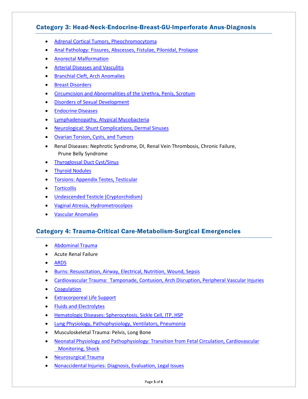## <span id="page-4-0"></span>Category 3: Head-Neck-Endocrine-Breast-GU-Imperforate Anus-Diagnosis

- [Adrenal Cortical Tumors, Pheochromocytoma](http://www.surgicalcore.org/modulecontent.aspx?id=1000261)
- [Anal Pathology: Fissures, Abscesses, Fistulae, Pilonidal, Prolapse](http://www.surgicalcore.org/modulecontent.aspx?id=1000285)
- [Anorectal Malformation](http://www.surgicalcore.org/modulecontent.aspx?id=262953)
- [Arterial Diseases and Vasculitis](http://www.surgicalcore.org/modulecontent.aspx?id=1000264)
- [Branchial Cleft, Arch Anomalies](http://www.surgicalcore.org/modulecontent.aspx?id=262873)
- [Breast Disorders](http://www.surgicalcore.org/modulecontent.aspx?id=1000284)
- [Circumcision and Abnormalities of the Urethra, Penis, Scrotum](http://www.surgicalcore.org/modulecontent.aspx?id=1000302)
- [Disorders of Sexual Development](http://www.surgicalcore.org/modulecontent.aspx?id=1000199)
- [Endocrine Diseases](http://www.surgicalcore.org/modulecontent.aspx?id=1000171)
- [Lymphadenopathy, Atypical Mycobacteria](http://www.surgicalcore.org/modulecontent.aspx?id=1000295)
- [Neurological: Shunt Complications, Dermal Sinuses](http://www.surgicalcore.org/modulecontent.aspx?id=1000263)
- [Ovarian Torsion, Cysts, and Tumors](http://www.surgicalcore.org/modulecontent.aspx?id=1000215)
- Renal Diseases: Nephrotic Syndrome, DI, Renal Vein Thrombosis, Chronic Failure, Prune Belly Syndrome
- [Thyroglossal Duct Cyst/Sinus](http://www.surgicalcore.org/modulecontent.aspx?id=1000170)
- [Thyroid Nodules](http://www.surgicalcore.org/modulecontent.aspx?id=1000201)
- [Torsions: Appendix Testes, Testicular](http://www.surgicalcore.org/modulecontent.aspx?id=1000262)
- [Torticollis](http://www.surgicalcore.org/modulecontent.aspx?id=1000260)
- [Undescended Testicle \(Cryptorchidism\)](http://www.surgicalcore.org/modulecontent.aspx?id=263056)
- [Vaginal Atresia, Hydrometrocolpos](http://www.surgicalcore.org/modulecontent.aspx?id=1000303)
- [Vascular Anomalies](http://www.surgicalcore.org/modulecontent.aspx?id=1000173)

### <span id="page-4-1"></span>Category 4: Trauma-Critical Care-Metabolism-Surgical Emergencies

- [Abdominal Trauma](http://www.surgicalcore.org/modulecontent.aspx?id=263245)
- Acute Renal Failure
- [ARDS](http://www.surgicalcore.org/modulecontent.aspx?id=1000289)
- [Burns: Resuscitation, Airway, Electrical, Nutrition, Wound, Sepsis](http://www.surgicalcore.org/modulecontent.aspx?id=1000287)
- [Cardiovascular Trauma: Tamponade, Contusion, Arch Disruption, Peripheral Vascular Injuries](http://www.surgicalcore.org/modulecontent.aspx?id=1000266)
- [Coagulation](http://www.surgicalcore.org/modulecontent.aspx?id=1000269)
- [Extracorporeal Life Support](http://www.surgicalcore.org/modulecontent.aspx?id=264557)
- Fluids [and Electrolytes](http://www.surgicalcore.org/modulecontent.aspx?id=1000300)
- [Hematologic Diseases: Spherocytosis, Sickle Cell, ITP, HSP](http://www.surgicalcore.org/modulecontent.aspx?id=1000290)
- [Lung Physiology, Pathophysiology, Ventilators, Pneumonia](http://www.surgicalcore.org/modulecontent.aspx?id=263337)
- Musculoskeletal Trauma: Pelvis, Long Bone
- [Neonatal Physiology and Pathophysiology: Transition from Fetal Circulation, Cardiovascular](http://www.surgicalcore.org/modulecontent.aspx?id=1000305)  **Monitoring, Shock**
- [Neurosurgical Trauma](http://www.surgicalcore.org/modulecontent.aspx?id=1000166)
- [Nonaccidental Injuries: Diagnosis, Evaluation, Legal Issues](http://www.surgicalcore.org/modulecontent.aspx?id=1000268)